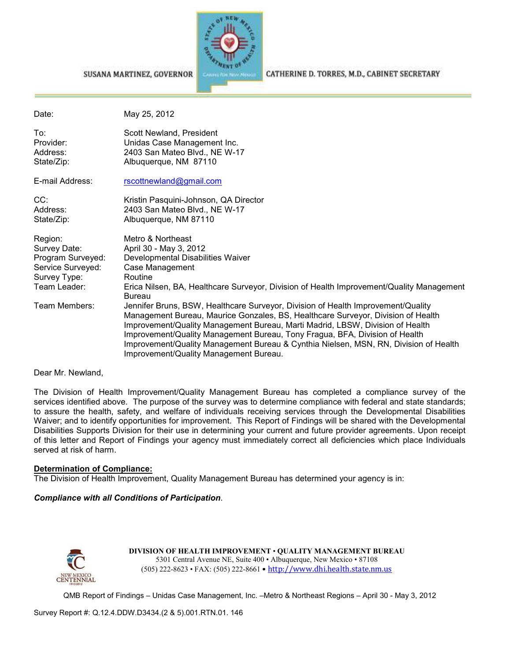

#### SUSANA MARTINEZ, GOVERNOR

CATHERINE D. TORRES, M.D., CABINET SECRETARY

| Date:                                                                                             | May 25, 2012                                                                                                                                                                                                                                                                                                                                                                                                                                                           |
|---------------------------------------------------------------------------------------------------|------------------------------------------------------------------------------------------------------------------------------------------------------------------------------------------------------------------------------------------------------------------------------------------------------------------------------------------------------------------------------------------------------------------------------------------------------------------------|
| To:<br>Provider:<br>Address:<br>State/Zip:                                                        | Scott Newland, President<br>Unidas Case Management Inc.<br>2403 San Mateo Blvd., NE W-17<br>Albuquerque, NM 87110                                                                                                                                                                                                                                                                                                                                                      |
| E-mail Address:                                                                                   | rscottnewland@gmail.com                                                                                                                                                                                                                                                                                                                                                                                                                                                |
| CC:<br>Address:<br>State/Zip:                                                                     | Kristin Pasquini-Johnson, QA Director<br>2403 San Mateo Blvd., NE W-17<br>Albuquerque, NM 87110                                                                                                                                                                                                                                                                                                                                                                        |
| Region:<br>Survey Date:<br>Program Surveyed:<br>Service Surveyed:<br>Survey Type:<br>Team Leader: | Metro & Northeast<br>April 30 - May 3, 2012<br>Developmental Disabilities Waiver<br>Case Management<br>Routine<br>Erica Nilsen, BA, Healthcare Surveyor, Division of Health Improvement/Quality Management<br><b>Bureau</b>                                                                                                                                                                                                                                            |
| Team Members:                                                                                     | Jennifer Bruns, BSW, Healthcare Surveyor, Division of Health Improvement/Quality<br>Management Bureau, Maurice Gonzales, BS, Healthcare Surveyor, Division of Health<br>Improvement/Quality Management Bureau, Marti Madrid, LBSW, Division of Health<br>Improvement/Quality Management Bureau, Tony Fragua, BFA, Division of Health<br>Improvement/Quality Management Bureau & Cynthia Nielsen, MSN, RN, Division of Health<br>Improvement/Quality Management Bureau. |

#### Dear Mr. Newland,

The Division of Health Improvement/Quality Management Bureau has completed a compliance survey of the services identified above. The purpose of the survey was to determine compliance with federal and state standards; to assure the health, safety, and welfare of individuals receiving services through the Developmental Disabilities Waiver; and to identify opportunities for improvement. This Report of Findings will be shared with the Developmental Disabilities Supports Division for their use in determining your current and future provider agreements. Upon receipt of this letter and Report of Findings your agency must immediately correct all deficiencies which place Individuals served at risk of harm.

#### **Determination of Compliance:**

The Division of Health Improvement, Quality Management Bureau has determined your agency is in:

#### *Compliance with all Conditions of Participation*.



**DIVISION OF HEALTH IMPROVEMENT** • **QUALITY MANAGEMENT BUREAU** 5301 Central Avenue NE, Suite 400 • Albuquerque, New Mexico • 87108 (505) 222-8623 • FAX: (505) 222-8661 • http://www.dhi.health.state.nm.us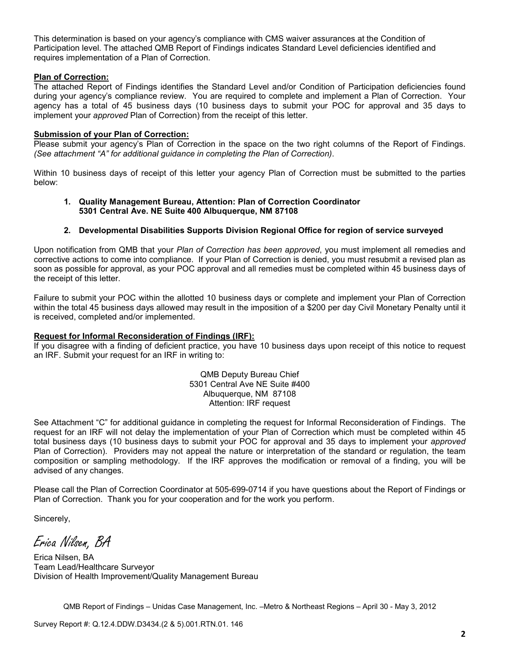This determination is based on your agency's compliance with CMS waiver assurances at the Condition of Participation level. The attached QMB Report of Findings indicates Standard Level deficiencies identified and requires implementation of a Plan of Correction.

#### **Plan of Correction:**

The attached Report of Findings identifies the Standard Level and/or Condition of Participation deficiencies found during your agency's compliance review. You are required to complete and implement a Plan of Correction. Your agency has a total of 45 business days (10 business days to submit your POC for approval and 35 days to implement your *approved* Plan of Correction) from the receipt of this letter.

#### **Submission of your Plan of Correction:**

Please submit your agency's Plan of Correction in the space on the two right columns of the Report of Findings. *(See attachment "A" for additional guidance in completing the Plan of Correction)*.

Within 10 business days of receipt of this letter your agency Plan of Correction must be submitted to the parties below:

#### **1. Quality Management Bureau, Attention: Plan of Correction Coordinator 5301 Central Ave. NE Suite 400 Albuquerque, NM 87108**

#### **2. Developmental Disabilities Supports Division Regional Office for region of service surveyed**

Upon notification from QMB that your *Plan of Correction has been approved*, you must implement all remedies and corrective actions to come into compliance. If your Plan of Correction is denied, you must resubmit a revised plan as soon as possible for approval, as your POC approval and all remedies must be completed within 45 business days of the receipt of this letter.

Failure to submit your POC within the allotted 10 business days or complete and implement your Plan of Correction within the total 45 business days allowed may result in the imposition of a \$200 per day Civil Monetary Penalty until it is received, completed and/or implemented.

#### **Request for Informal Reconsideration of Findings (IRF):**

If you disagree with a finding of deficient practice, you have 10 business days upon receipt of this notice to request an IRF. Submit your request for an IRF in writing to:

> QMB Deputy Bureau Chief 5301 Central Ave NE Suite #400 Albuquerque, NM 87108 Attention: IRF request

See Attachment "C" for additional guidance in completing the request for Informal Reconsideration of Findings. The request for an IRF will not delay the implementation of your Plan of Correction which must be completed within 45 total business days (10 business days to submit your POC for approval and 35 days to implement your *approved* Plan of Correction). Providers may not appeal the nature or interpretation of the standard or regulation, the team composition or sampling methodology. If the IRF approves the modification or removal of a finding, you will be advised of any changes.

Please call the Plan of Correction Coordinator at 505-699-0714 if you have questions about the Report of Findings or Plan of Correction. Thank you for your cooperation and for the work you perform.

Sincerely,

Erica Nilsen, BA

Erica Nilsen, BA Team Lead/Healthcare Surveyor Division of Health Improvement/Quality Management Bureau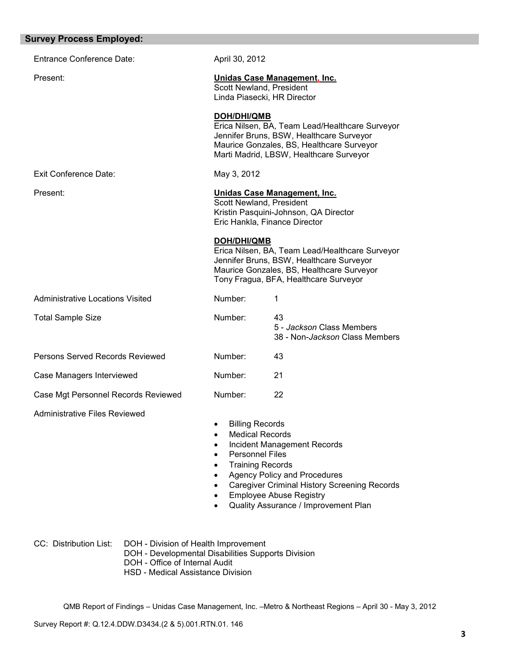| <b>Survey Process Employed:</b>         |                                                                                                                                                                                                  |                                                                                                                                                                                                     |
|-----------------------------------------|--------------------------------------------------------------------------------------------------------------------------------------------------------------------------------------------------|-----------------------------------------------------------------------------------------------------------------------------------------------------------------------------------------------------|
| <b>Entrance Conference Date:</b>        | April 30, 2012                                                                                                                                                                                   |                                                                                                                                                                                                     |
| Present:                                | Scott Newland, President                                                                                                                                                                         | Unidas Case Management, Inc.<br>Linda Piasecki, HR Director                                                                                                                                         |
|                                         | <b>DOH/DHI/QMB</b>                                                                                                                                                                               | Erica Nilsen, BA, Team Lead/Healthcare Surveyor<br>Jennifer Bruns, BSW, Healthcare Surveyor<br>Maurice Gonzales, BS, Healthcare Surveyor<br>Marti Madrid, LBSW, Healthcare Surveyor                 |
| <b>Exit Conference Date:</b>            | May 3, 2012                                                                                                                                                                                      |                                                                                                                                                                                                     |
| Present:                                | Scott Newland, President                                                                                                                                                                         | Unidas Case Management, Inc.<br>Kristin Pasquini-Johnson, QA Director<br>Eric Hankla, Finance Director                                                                                              |
|                                         | <b>DOH/DHI/QMB</b>                                                                                                                                                                               | Erica Nilsen, BA, Team Lead/Healthcare Surveyor<br>Jennifer Bruns, BSW, Healthcare Surveyor<br>Maurice Gonzales, BS, Healthcare Surveyor<br>Tony Fragua, BFA, Healthcare Surveyor                   |
| <b>Administrative Locations Visited</b> | Number:                                                                                                                                                                                          | 1                                                                                                                                                                                                   |
| <b>Total Sample Size</b>                | Number:                                                                                                                                                                                          | 43<br>5 - Jackson Class Members<br>38 - Non-Jackson Class Members                                                                                                                                   |
| Persons Served Records Reviewed         | Number:                                                                                                                                                                                          | 43                                                                                                                                                                                                  |
| Case Managers Interviewed               | Number:                                                                                                                                                                                          | 21                                                                                                                                                                                                  |
| Case Mgt Personnel Records Reviewed     | Number:                                                                                                                                                                                          | 22                                                                                                                                                                                                  |
| <b>Administrative Files Reviewed</b>    | <b>Billing Records</b><br><b>Medical Records</b><br>$\bullet$<br>$\bullet$<br><b>Personnel Files</b><br>$\bullet$<br><b>Training Records</b><br>$\bullet$<br>$\bullet$<br>$\bullet$<br>$\bullet$ | Incident Management Records<br><b>Agency Policy and Procedures</b><br><b>Caregiver Criminal History Screening Records</b><br><b>Employee Abuse Registry</b><br>Quality Assurance / Improvement Plan |

CC: Distribution List: DOH - Division of Health Improvement

- DOH Developmental Disabilities Supports Division
- DOH Office of Internal Audit
- HSD Medical Assistance Division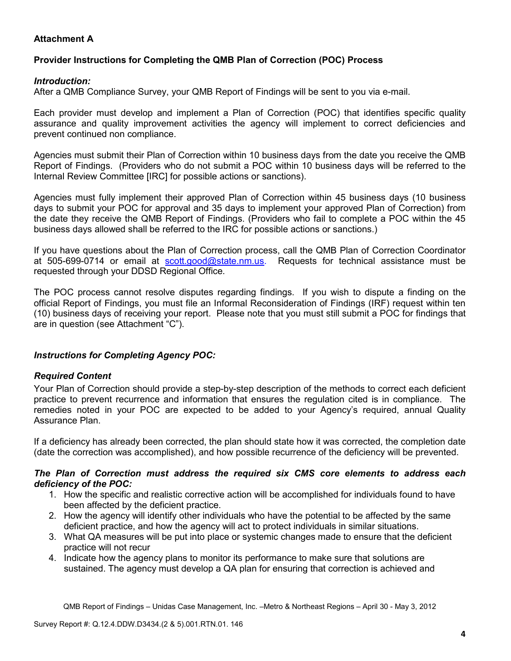# **Attachment A**

# **Provider Instructions for Completing the QMB Plan of Correction (POC) Process**

### *Introduction:*

After a QMB Compliance Survey, your QMB Report of Findings will be sent to you via e-mail.

Each provider must develop and implement a Plan of Correction (POC) that identifies specific quality assurance and quality improvement activities the agency will implement to correct deficiencies and prevent continued non compliance.

Agencies must submit their Plan of Correction within 10 business days from the date you receive the QMB Report of Findings. (Providers who do not submit a POC within 10 business days will be referred to the Internal Review Committee [IRC] for possible actions or sanctions).

Agencies must fully implement their approved Plan of Correction within 45 business days (10 business days to submit your POC for approval and 35 days to implement your approved Plan of Correction) from the date they receive the QMB Report of Findings. (Providers who fail to complete a POC within the 45 business days allowed shall be referred to the IRC for possible actions or sanctions.)

If you have questions about the Plan of Correction process, call the QMB Plan of Correction Coordinator at 505-699-0714 or email at scott.good@state.nm.us. Requests for technical assistance must be requested through your DDSD Regional Office.

The POC process cannot resolve disputes regarding findings. If you wish to dispute a finding on the official Report of Findings, you must file an Informal Reconsideration of Findings (IRF) request within ten (10) business days of receiving your report. Please note that you must still submit a POC for findings that are in question (see Attachment "C").

## *Instructions for Completing Agency POC:*

## *Required Content*

Your Plan of Correction should provide a step-by-step description of the methods to correct each deficient practice to prevent recurrence and information that ensures the regulation cited is in compliance. The remedies noted in your POC are expected to be added to your Agency's required, annual Quality Assurance Plan.

If a deficiency has already been corrected, the plan should state how it was corrected, the completion date (date the correction was accomplished), and how possible recurrence of the deficiency will be prevented.

#### *The Plan of Correction must address the required six CMS core elements to address each deficiency of the POC:*

- 1. How the specific and realistic corrective action will be accomplished for individuals found to have been affected by the deficient practice.
- 2. How the agency will identify other individuals who have the potential to be affected by the same deficient practice, and how the agency will act to protect individuals in similar situations.
- 3. What QA measures will be put into place or systemic changes made to ensure that the deficient practice will not recur
- 4. Indicate how the agency plans to monitor its performance to make sure that solutions are sustained. The agency must develop a QA plan for ensuring that correction is achieved and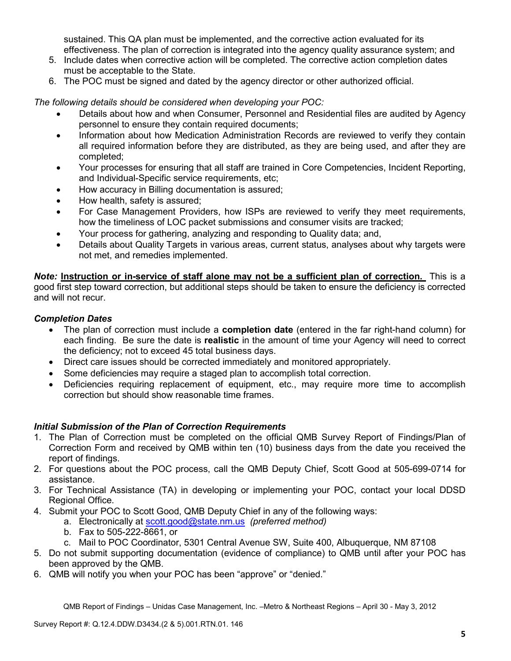sustained. This QA plan must be implemented, and the corrective action evaluated for its effectiveness. The plan of correction is integrated into the agency quality assurance system; and

- 5. Include dates when corrective action will be completed. The corrective action completion dates must be acceptable to the State.
- 6. The POC must be signed and dated by the agency director or other authorized official.

*The following details should be considered when developing your POC:* 

- Details about how and when Consumer, Personnel and Residential files are audited by Agency personnel to ensure they contain required documents;
- Information about how Medication Administration Records are reviewed to verify they contain all required information before they are distributed, as they are being used, and after they are completed;
- Your processes for ensuring that all staff are trained in Core Competencies, Incident Reporting, and Individual-Specific service requirements, etc;
- How accuracy in Billing documentation is assured;
- How health, safety is assured;
- For Case Management Providers, how ISPs are reviewed to verify they meet requirements, how the timeliness of LOC packet submissions and consumer visits are tracked;
- Your process for gathering, analyzing and responding to Quality data; and,
- Details about Quality Targets in various areas, current status, analyses about why targets were not met, and remedies implemented.

*Note:* **Instruction or in-service of staff alone may not be a sufficient plan of correction.** This is a good first step toward correction, but additional steps should be taken to ensure the deficiency is corrected and will not recur.

## *Completion Dates*

- The plan of correction must include a **completion date** (entered in the far right-hand column) for each finding. Be sure the date is **realistic** in the amount of time your Agency will need to correct the deficiency; not to exceed 45 total business days.
- Direct care issues should be corrected immediately and monitored appropriately.
- Some deficiencies may require a staged plan to accomplish total correction.
- Deficiencies requiring replacement of equipment, etc., may require more time to accomplish correction but should show reasonable time frames.

## *Initial Submission of the Plan of Correction Requirements*

- 1. The Plan of Correction must be completed on the official QMB Survey Report of Findings/Plan of Correction Form and received by QMB within ten (10) business days from the date you received the report of findings.
- 2. For questions about the POC process, call the QMB Deputy Chief, Scott Good at 505-699-0714 for assistance.
- 3. For Technical Assistance (TA) in developing or implementing your POC, contact your local DDSD Regional Office.
- 4. Submit your POC to Scott Good, QMB Deputy Chief in any of the following ways:
	- a. Electronically at scott.good@state.nm.us *(preferred method)*
	- b. Fax to 505-222-8661, or
	- c. Mail to POC Coordinator, 5301 Central Avenue SW, Suite 400, Albuquerque, NM 87108
- 5. Do not submit supporting documentation (evidence of compliance) to QMB until after your POC has been approved by the QMB.
- 6. QMB will notify you when your POC has been "approve" or "denied."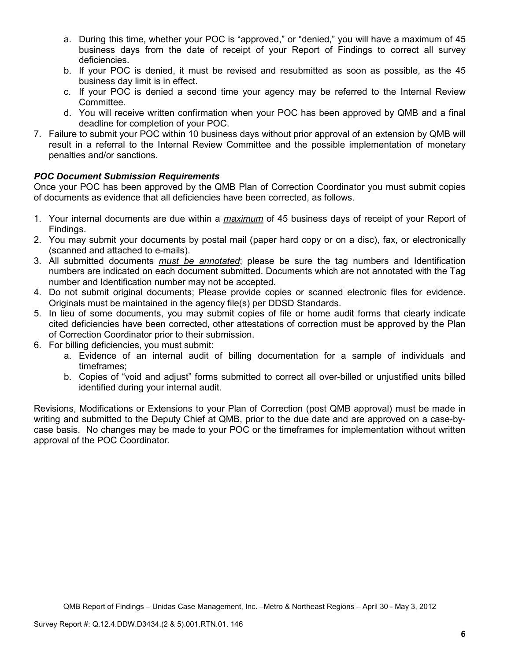- a. During this time, whether your POC is "approved," or "denied," you will have a maximum of 45 business days from the date of receipt of your Report of Findings to correct all survey deficiencies.
- b. If your POC is denied, it must be revised and resubmitted as soon as possible, as the 45 business day limit is in effect.
- c. If your POC is denied a second time your agency may be referred to the Internal Review Committee.
- d. You will receive written confirmation when your POC has been approved by QMB and a final deadline for completion of your POC.
- 7. Failure to submit your POC within 10 business days without prior approval of an extension by QMB will result in a referral to the Internal Review Committee and the possible implementation of monetary penalties and/or sanctions.

# *POC Document Submission Requirements*

Once your POC has been approved by the QMB Plan of Correction Coordinator you must submit copies of documents as evidence that all deficiencies have been corrected, as follows.

- 1. Your internal documents are due within a *maximum* of 45 business days of receipt of your Report of Findings.
- 2. You may submit your documents by postal mail (paper hard copy or on a disc), fax, or electronically (scanned and attached to e-mails).
- 3. All submitted documents *must be annotated*; please be sure the tag numbers and Identification numbers are indicated on each document submitted. Documents which are not annotated with the Tag number and Identification number may not be accepted.
- 4. Do not submit original documents; Please provide copies or scanned electronic files for evidence. Originals must be maintained in the agency file(s) per DDSD Standards.
- 5. In lieu of some documents, you may submit copies of file or home audit forms that clearly indicate cited deficiencies have been corrected, other attestations of correction must be approved by the Plan of Correction Coordinator prior to their submission.
- 6. For billing deficiencies, you must submit:
	- a. Evidence of an internal audit of billing documentation for a sample of individuals and timeframes;
	- b. Copies of "void and adjust" forms submitted to correct all over-billed or unjustified units billed identified during your internal audit.

Revisions, Modifications or Extensions to your Plan of Correction (post QMB approval) must be made in writing and submitted to the Deputy Chief at QMB, prior to the due date and are approved on a case-bycase basis. No changes may be made to your POC or the timeframes for implementation without written approval of the POC Coordinator.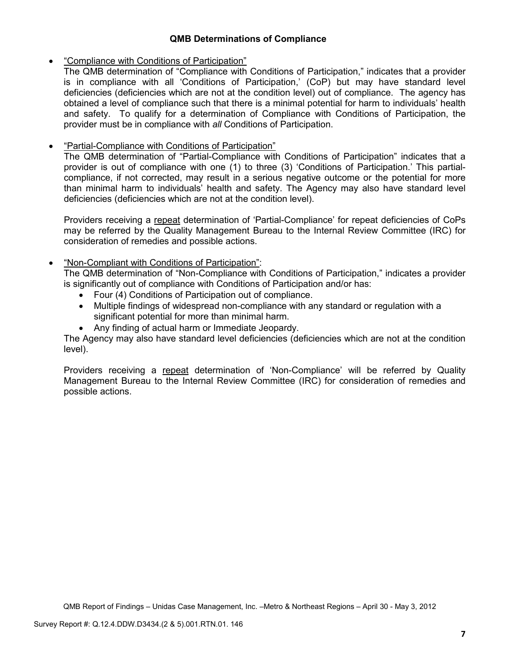## **QMB Determinations of Compliance**

### • "Compliance with Conditions of Participation"

The QMB determination of "Compliance with Conditions of Participation," indicates that a provider is in compliance with all 'Conditions of Participation,' (CoP) but may have standard level deficiencies (deficiencies which are not at the condition level) out of compliance. The agency has obtained a level of compliance such that there is a minimal potential for harm to individuals' health and safety. To qualify for a determination of Compliance with Conditions of Participation, the provider must be in compliance with *all* Conditions of Participation.

## • "Partial-Compliance with Conditions of Participation"

The QMB determination of "Partial-Compliance with Conditions of Participation" indicates that a provider is out of compliance with one (1) to three (3) 'Conditions of Participation.' This partialcompliance, if not corrected, may result in a serious negative outcome or the potential for more than minimal harm to individuals' health and safety. The Agency may also have standard level deficiencies (deficiencies which are not at the condition level).

Providers receiving a repeat determination of 'Partial-Compliance' for repeat deficiencies of CoPs may be referred by the Quality Management Bureau to the Internal Review Committee (IRC) for consideration of remedies and possible actions.

## • "Non-Compliant with Conditions of Participation":

The QMB determination of "Non-Compliance with Conditions of Participation," indicates a provider is significantly out of compliance with Conditions of Participation and/or has:

- Four (4) Conditions of Participation out of compliance.
- Multiple findings of widespread non-compliance with any standard or regulation with a significant potential for more than minimal harm.
- Any finding of actual harm or Immediate Jeopardy.

The Agency may also have standard level deficiencies (deficiencies which are not at the condition level).

Providers receiving a repeat determination of 'Non-Compliance' will be referred by Quality Management Bureau to the Internal Review Committee (IRC) for consideration of remedies and possible actions.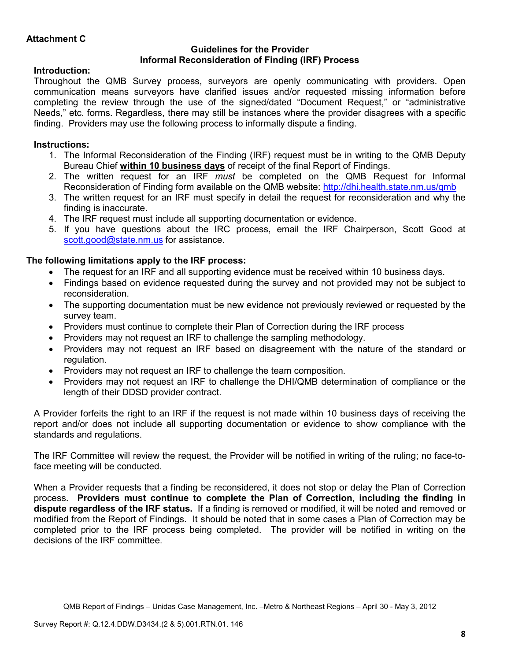### **Guidelines for the Provider Informal Reconsideration of Finding (IRF) Process**

# **Introduction:**

Throughout the QMB Survey process, surveyors are openly communicating with providers. Open communication means surveyors have clarified issues and/or requested missing information before completing the review through the use of the signed/dated "Document Request," or "administrative Needs," etc. forms. Regardless, there may still be instances where the provider disagrees with a specific finding. Providers may use the following process to informally dispute a finding.

# **Instructions:**

- 1. The Informal Reconsideration of the Finding (IRF) request must be in writing to the QMB Deputy Bureau Chief **within 10 business days** of receipt of the final Report of Findings.
- 2. The written request for an IRF *must* be completed on the QMB Request for Informal Reconsideration of Finding form available on the QMB website: http://dhi.health.state.nm.us/qmb
- 3. The written request for an IRF must specify in detail the request for reconsideration and why the finding is inaccurate.
- 4. The IRF request must include all supporting documentation or evidence.
- 5. If you have questions about the IRC process, email the IRF Chairperson, Scott Good at scott.good@state.nm.us for assistance.

# **The following limitations apply to the IRF process:**

- The request for an IRF and all supporting evidence must be received within 10 business days.
- Findings based on evidence requested during the survey and not provided may not be subject to reconsideration.
- The supporting documentation must be new evidence not previously reviewed or requested by the survey team.
- Providers must continue to complete their Plan of Correction during the IRF process
- Providers may not request an IRF to challenge the sampling methodology.
- Providers may not request an IRF based on disagreement with the nature of the standard or regulation.
- Providers may not request an IRF to challenge the team composition.
- Providers may not request an IRF to challenge the DHI/QMB determination of compliance or the length of their DDSD provider contract.

A Provider forfeits the right to an IRF if the request is not made within 10 business days of receiving the report and/or does not include all supporting documentation or evidence to show compliance with the standards and regulations.

The IRF Committee will review the request, the Provider will be notified in writing of the ruling; no face-toface meeting will be conducted.

When a Provider requests that a finding be reconsidered, it does not stop or delay the Plan of Correction process. **Providers must continue to complete the Plan of Correction, including the finding in dispute regardless of the IRF status.** If a finding is removed or modified, it will be noted and removed or modified from the Report of Findings. It should be noted that in some cases a Plan of Correction may be completed prior to the IRF process being completed. The provider will be notified in writing on the decisions of the IRF committee.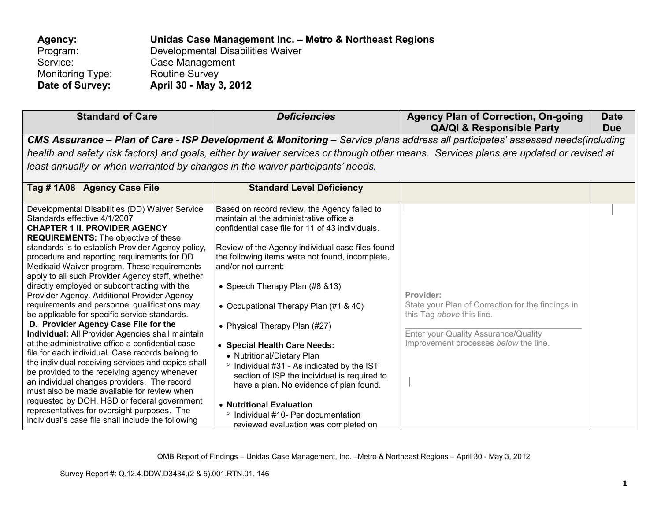| Agency:                 | Unidas Case Management Inc. - Metro & Northeast Regions |
|-------------------------|---------------------------------------------------------|
| Program:                | Developmental Disabilities Waiver                       |
| Service:                | Case Management                                         |
| <b>Monitoring Type:</b> | <b>Routine Survey</b>                                   |
| Date of Survey:         | April 30 - May 3, 2012                                  |

| <b>Standard of Care</b>                                                                                                                                                                                                                                                                                                                                                                                                                                                                                                                                                                                                                                                                                                                                                                                                                                                                                                                                                                                                                                                                                                                          | <b>Deficiencies</b>                                                                                                                                                                                                                                                                                                                                                                                                                                                                                                                                                                                                                                                                                      | <b>Agency Plan of Correction, On-going</b><br><b>QA/QI &amp; Responsible Party</b>                                                                                           | <b>Date</b><br><b>Due</b> |  |
|--------------------------------------------------------------------------------------------------------------------------------------------------------------------------------------------------------------------------------------------------------------------------------------------------------------------------------------------------------------------------------------------------------------------------------------------------------------------------------------------------------------------------------------------------------------------------------------------------------------------------------------------------------------------------------------------------------------------------------------------------------------------------------------------------------------------------------------------------------------------------------------------------------------------------------------------------------------------------------------------------------------------------------------------------------------------------------------------------------------------------------------------------|----------------------------------------------------------------------------------------------------------------------------------------------------------------------------------------------------------------------------------------------------------------------------------------------------------------------------------------------------------------------------------------------------------------------------------------------------------------------------------------------------------------------------------------------------------------------------------------------------------------------------------------------------------------------------------------------------------|------------------------------------------------------------------------------------------------------------------------------------------------------------------------------|---------------------------|--|
| CMS Assurance - Plan of Care - ISP Development & Monitoring - Service plans address all participates' assessed needs(including<br>health and safety risk factors) and goals, either by waiver services or through other means. Services plans are updated or revised at<br>least annually or when warranted by changes in the waiver participants' needs.                                                                                                                                                                                                                                                                                                                                                                                                                                                                                                                                                                                                                                                                                                                                                                                        |                                                                                                                                                                                                                                                                                                                                                                                                                                                                                                                                                                                                                                                                                                          |                                                                                                                                                                              |                           |  |
| Tag # 1A08 Agency Case File                                                                                                                                                                                                                                                                                                                                                                                                                                                                                                                                                                                                                                                                                                                                                                                                                                                                                                                                                                                                                                                                                                                      | <b>Standard Level Deficiency</b>                                                                                                                                                                                                                                                                                                                                                                                                                                                                                                                                                                                                                                                                         |                                                                                                                                                                              |                           |  |
| Developmental Disabilities (DD) Waiver Service<br>Standards effective 4/1/2007<br><b>CHAPTER 1 II. PROVIDER AGENCY</b><br><b>REQUIREMENTS:</b> The objective of these<br>standards is to establish Provider Agency policy,<br>procedure and reporting requirements for DD<br>Medicaid Waiver program. These requirements<br>apply to all such Provider Agency staff, whether<br>directly employed or subcontracting with the<br>Provider Agency. Additional Provider Agency<br>requirements and personnel qualifications may<br>be applicable for specific service standards.<br>D. Provider Agency Case File for the<br><b>Individual:</b> All Provider Agencies shall maintain<br>at the administrative office a confidential case<br>file for each individual. Case records belong to<br>the individual receiving services and copies shall<br>be provided to the receiving agency whenever<br>an individual changes providers. The record<br>must also be made available for review when<br>requested by DOH, HSD or federal government<br>representatives for oversight purposes. The<br>individual's case file shall include the following | Based on record review, the Agency failed to<br>maintain at the administrative office a<br>confidential case file for 11 of 43 individuals.<br>Review of the Agency individual case files found<br>the following items were not found, incomplete,<br>and/or not current:<br>• Speech Therapy Plan (#8 & 13)<br>• Occupational Therapy Plan (#1 & 40)<br>• Physical Therapy Plan (#27)<br>• Special Health Care Needs:<br>• Nutritional/Dietary Plan<br>° Individual #31 - As indicated by the IST<br>section of ISP the individual is required to<br>have a plan. No evidence of plan found.<br>• Nutritional Evaluation<br>° Individual #10- Per documentation<br>reviewed evaluation was completed on | Provider:<br>State your Plan of Correction for the findings in<br>this Tag above this line.<br>Enter your Quality Assurance/Quality<br>Improvement processes below the line. |                           |  |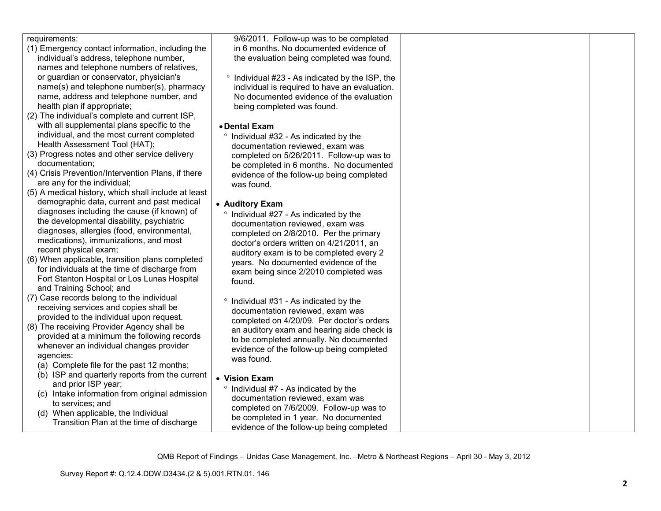| requirements:                                       | 9/6/2011. Follow-up was to be completed           |  |
|-----------------------------------------------------|---------------------------------------------------|--|
| (1) Emergency contact information, including the    | in 6 months. No documented evidence of            |  |
| individual's address, telephone number,             | the evaluation being completed was found.         |  |
| names and telephone numbers of relatives,           |                                                   |  |
| or guardian or conservator, physician's             | ° Individual #23 - As indicated by the ISP, the   |  |
| name(s) and telephone number(s), pharmacy           | individual is required to have an evaluation.     |  |
| name, address and telephone number, and             | No documented evidence of the evaluation          |  |
| health plan if appropriate;                         | being completed was found.                        |  |
| (2) The individual's complete and current ISP,      |                                                   |  |
| with all supplemental plans specific to the         | • Dental Exam                                     |  |
| individual, and the most current completed          | ° Individual #32 - As indicated by the            |  |
| Health Assessment Tool (HAT);                       | documentation reviewed, exam was                  |  |
| (3) Progress notes and other service delivery       | completed on 5/26/2011. Follow-up was to          |  |
| documentation:                                      | be completed in 6 months. No documented           |  |
| (4) Crisis Prevention/Intervention Plans, if there  | evidence of the follow-up being completed         |  |
| are any for the individual;                         | was found.                                        |  |
| (5) A medical history, which shall include at least |                                                   |  |
| demographic data, current and past medical          | • Auditory Exam                                   |  |
| diagnoses including the cause (if known) of         | ° Individual #27 - As indicated by the            |  |
| the developmental disability, psychiatric           | documentation reviewed, exam was                  |  |
| diagnoses, allergies (food, environmental,          | completed on 2/8/2010. Per the primary            |  |
| medications), immunizations, and most               | doctor's orders written on 4/21/2011, an          |  |
| recent physical exam;                               | auditory exam is to be completed every 2          |  |
| (6) When applicable, transition plans completed     | years. No documented evidence of the              |  |
| for individuals at the time of discharge from       | exam being since 2/2010 completed was             |  |
| Fort Stanton Hospital or Los Lunas Hospital         | found.                                            |  |
| and Training School; and                            |                                                   |  |
| (7) Case records belong to the individual           | <sup>o</sup> Individual #31 - As indicated by the |  |
| receiving services and copies shall be              | documentation reviewed, exam was                  |  |
| provided to the individual upon request.            | completed on 4/20/09. Per doctor's orders         |  |
| (8) The receiving Provider Agency shall be          | an auditory exam and hearing aide check is        |  |
| provided at a minimum the following records         | to be completed annually. No documented           |  |
| whenever an individual changes provider             | evidence of the follow-up being completed         |  |
| agencies:                                           | was found.                                        |  |
| (a) Complete file for the past 12 months;           |                                                   |  |
| (b) ISP and quarterly reports from the current      | • Vision Exam                                     |  |
| and prior ISP year;                                 |                                                   |  |
| (c) Intake information from original admission      | ° Individual #7 - As indicated by the             |  |
| to services; and                                    | documentation reviewed, exam was                  |  |
| (d) When applicable, the Individual                 | completed on 7/6/2009. Follow-up was to           |  |
| Transition Plan at the time of discharge            | be completed in 1 year. No documented             |  |
|                                                     | evidence of the follow-up being completed         |  |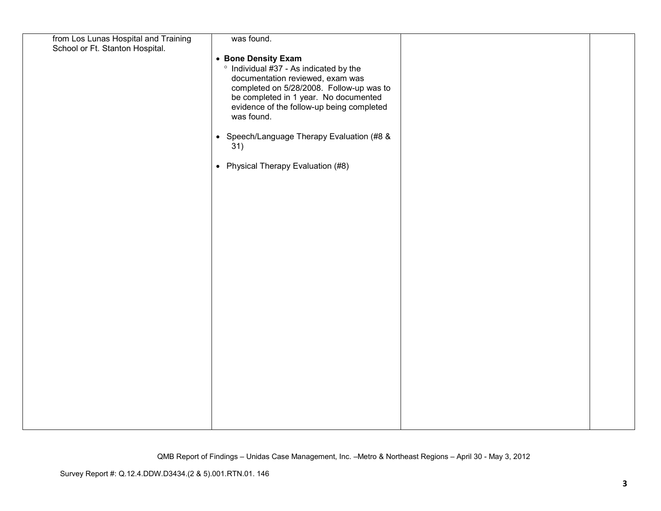| from Los Lunas Hospital and Training | was found.                                              |  |
|--------------------------------------|---------------------------------------------------------|--|
| School or Ft. Stanton Hospital.      |                                                         |  |
|                                      | • Bone Density Exam                                     |  |
|                                      | ° Individual #37 - As indicated by the                  |  |
|                                      | documentation reviewed, exam was                        |  |
|                                      | completed on 5/28/2008. Follow-up was to                |  |
|                                      | be completed in 1 year. No documented                   |  |
|                                      | evidence of the follow-up being completed<br>was found. |  |
|                                      |                                                         |  |
|                                      | • Speech/Language Therapy Evaluation (#8 &              |  |
|                                      | 31)                                                     |  |
|                                      |                                                         |  |
|                                      | • Physical Therapy Evaluation (#8)                      |  |
|                                      |                                                         |  |
|                                      |                                                         |  |
|                                      |                                                         |  |
|                                      |                                                         |  |
|                                      |                                                         |  |
|                                      |                                                         |  |
|                                      |                                                         |  |
|                                      |                                                         |  |
|                                      |                                                         |  |
|                                      |                                                         |  |
|                                      |                                                         |  |
|                                      |                                                         |  |
|                                      |                                                         |  |
|                                      |                                                         |  |
|                                      |                                                         |  |
|                                      |                                                         |  |
|                                      |                                                         |  |
|                                      |                                                         |  |
|                                      |                                                         |  |
|                                      |                                                         |  |
|                                      |                                                         |  |
|                                      |                                                         |  |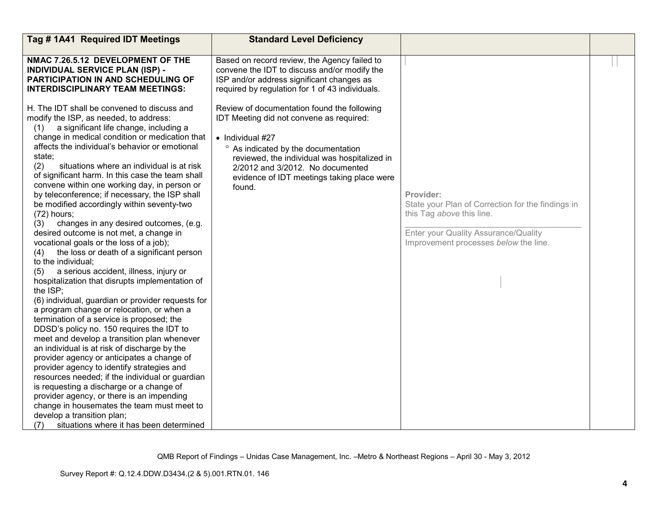| Tag #1A41 Required IDT Meetings                                                                                                                                                                                                                                                                                                                                                                                                                                                                                                                                                                                                                                                                                                                                                                                                                                                                                                                                                                                                                                                                                                                                                                                                                                                                                                                                                                                                                                                                                                 | <b>Standard Level Deficiency</b>                                                                                                                                                                                                                                                               |                                                                                                                                                                              |  |
|---------------------------------------------------------------------------------------------------------------------------------------------------------------------------------------------------------------------------------------------------------------------------------------------------------------------------------------------------------------------------------------------------------------------------------------------------------------------------------------------------------------------------------------------------------------------------------------------------------------------------------------------------------------------------------------------------------------------------------------------------------------------------------------------------------------------------------------------------------------------------------------------------------------------------------------------------------------------------------------------------------------------------------------------------------------------------------------------------------------------------------------------------------------------------------------------------------------------------------------------------------------------------------------------------------------------------------------------------------------------------------------------------------------------------------------------------------------------------------------------------------------------------------|------------------------------------------------------------------------------------------------------------------------------------------------------------------------------------------------------------------------------------------------------------------------------------------------|------------------------------------------------------------------------------------------------------------------------------------------------------------------------------|--|
| NMAC 7.26.5.12 DEVELOPMENT OF THE<br><b>INDIVIDUAL SERVICE PLAN (ISP) -</b><br><b>PARTICIPATION IN AND SCHEDULING OF</b><br><b>INTERDISCIPLINARY TEAM MEETINGS:</b>                                                                                                                                                                                                                                                                                                                                                                                                                                                                                                                                                                                                                                                                                                                                                                                                                                                                                                                                                                                                                                                                                                                                                                                                                                                                                                                                                             | Based on record review, the Agency failed to<br>convene the IDT to discuss and/or modify the<br>ISP and/or address significant changes as<br>required by regulation for 1 of 43 individuals.                                                                                                   |                                                                                                                                                                              |  |
| H. The IDT shall be convened to discuss and<br>modify the ISP, as needed, to address:<br>a significant life change, including a<br>(1)<br>change in medical condition or medication that<br>affects the individual's behavior or emotional<br>state;<br>(2)<br>situations where an individual is at risk<br>of significant harm. In this case the team shall<br>convene within one working day, in person or<br>by teleconference; if necessary, the ISP shall<br>be modified accordingly within seventy-two<br>$(72)$ hours;<br>changes in any desired outcomes, (e.g.<br>(3)<br>desired outcome is not met, a change in<br>vocational goals or the loss of a job);<br>the loss or death of a significant person<br>(4)<br>to the individual;<br>a serious accident, illness, injury or<br>(5)<br>hospitalization that disrupts implementation of<br>the ISP;<br>(6) individual, guardian or provider requests for<br>a program change or relocation, or when a<br>termination of a service is proposed; the<br>DDSD's policy no. 150 requires the IDT to<br>meet and develop a transition plan whenever<br>an individual is at risk of discharge by the<br>provider agency or anticipates a change of<br>provider agency to identify strategies and<br>resources needed; if the individual or guardian<br>is requesting a discharge or a change of<br>provider agency, or there is an impending<br>change in housemates the team must meet to<br>develop a transition plan;<br>situations where it has been determined<br>(7) | Review of documentation found the following<br>IDT Meeting did not convene as required:<br>• Individual #27<br>° As indicated by the documentation<br>reviewed, the individual was hospitalized in<br>2/2012 and 3/2012. No documented<br>evidence of IDT meetings taking place were<br>found. | Provider:<br>State your Plan of Correction for the findings in<br>this Tag above this line.<br>Enter your Quality Assurance/Quality<br>Improvement processes below the line. |  |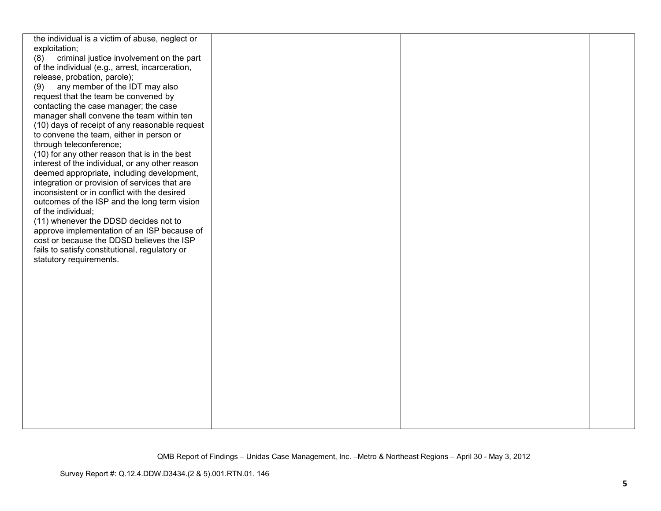| the individual is a victim of abuse, neglect or |  |  |
|-------------------------------------------------|--|--|
| exploitation;                                   |  |  |
| criminal justice involvement on the part<br>(8) |  |  |
| of the individual (e.g., arrest, incarceration, |  |  |
| release, probation, parole);                    |  |  |
| any member of the IDT may also<br>(9)           |  |  |
| request that the team be convened by            |  |  |
| contacting the case manager; the case           |  |  |
| manager shall convene the team within ten       |  |  |
| (10) days of receipt of any reasonable request  |  |  |
| to convene the team, either in person or        |  |  |
| through teleconference;                         |  |  |
| (10) for any other reason that is in the best   |  |  |
| interest of the individual, or any other reason |  |  |
| deemed appropriate, including development,      |  |  |
| integration or provision of services that are   |  |  |
| inconsistent or in conflict with the desired    |  |  |
| outcomes of the ISP and the long term vision    |  |  |
| of the individual;                              |  |  |
| (11) whenever the DDSD decides not to           |  |  |
| approve implementation of an ISP because of     |  |  |
| cost or because the DDSD believes the ISP       |  |  |
| fails to satisfy constitutional, regulatory or  |  |  |
| statutory requirements.                         |  |  |
|                                                 |  |  |
|                                                 |  |  |
|                                                 |  |  |
|                                                 |  |  |
|                                                 |  |  |
|                                                 |  |  |
|                                                 |  |  |
|                                                 |  |  |
|                                                 |  |  |
|                                                 |  |  |
|                                                 |  |  |
|                                                 |  |  |
|                                                 |  |  |
|                                                 |  |  |
|                                                 |  |  |
|                                                 |  |  |
|                                                 |  |  |
|                                                 |  |  |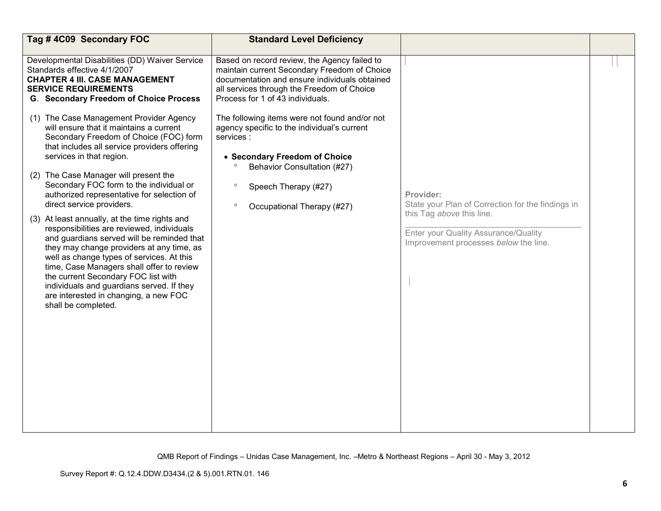| Tag #4C09 Secondary FOC                                                                                                                                                                                                                                                                                                                                                                                                              | <b>Standard Level Deficiency</b>                                                                                                                                                                                                |                                                                                             |  |
|--------------------------------------------------------------------------------------------------------------------------------------------------------------------------------------------------------------------------------------------------------------------------------------------------------------------------------------------------------------------------------------------------------------------------------------|---------------------------------------------------------------------------------------------------------------------------------------------------------------------------------------------------------------------------------|---------------------------------------------------------------------------------------------|--|
| Developmental Disabilities (DD) Waiver Service<br>Standards effective 4/1/2007<br><b>CHAPTER 4 III. CASE MANAGEMENT</b><br><b>SERVICE REQUIREMENTS</b><br><b>G. Secondary Freedom of Choice Process</b>                                                                                                                                                                                                                              | Based on record review, the Agency failed to<br>maintain current Secondary Freedom of Choice<br>documentation and ensure individuals obtained<br>all services through the Freedom of Choice<br>Process for 1 of 43 individuals. |                                                                                             |  |
| (1) The Case Management Provider Agency<br>will ensure that it maintains a current<br>Secondary Freedom of Choice (FOC) form<br>that includes all service providers offering<br>services in that region.                                                                                                                                                                                                                             | The following items were not found and/or not<br>agency specific to the individual's current<br>services :<br>• Secondary Freedom of Choice<br>Behavior Consultation (#27)                                                      |                                                                                             |  |
| (2) The Case Manager will present the<br>Secondary FOC form to the individual or<br>authorized representative for selection of<br>direct service providers.                                                                                                                                                                                                                                                                          | $\circ$<br>Speech Therapy (#27)<br>$\circ$<br>Occupational Therapy (#27)                                                                                                                                                        | Provider:<br>State your Plan of Correction for the findings in<br>this Tag above this line. |  |
| (3) At least annually, at the time rights and<br>responsibilities are reviewed, individuals<br>and guardians served will be reminded that<br>they may change providers at any time, as<br>well as change types of services. At this<br>time, Case Managers shall offer to review<br>the current Secondary FOC list with<br>individuals and guardians served. If they<br>are interested in changing, a new FOC<br>shall be completed. |                                                                                                                                                                                                                                 | Enter your Quality Assurance/Quality<br>Improvement processes below the line.               |  |
|                                                                                                                                                                                                                                                                                                                                                                                                                                      |                                                                                                                                                                                                                                 |                                                                                             |  |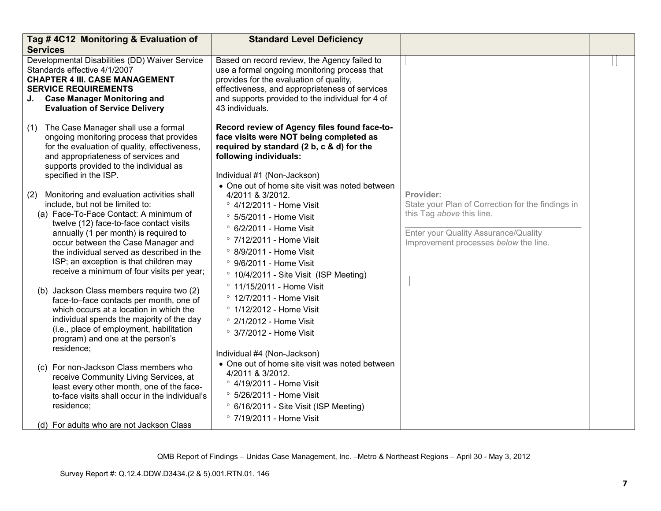|     | Tag #4C12 Monitoring & Evaluation of<br><b>Services</b>                                                                                                                                                                                        | <b>Standard Level Deficiency</b>                                                                                                                                                                                                                                 |                                                   |  |
|-----|------------------------------------------------------------------------------------------------------------------------------------------------------------------------------------------------------------------------------------------------|------------------------------------------------------------------------------------------------------------------------------------------------------------------------------------------------------------------------------------------------------------------|---------------------------------------------------|--|
|     | Developmental Disabilities (DD) Waiver Service<br>Standards effective 4/1/2007<br><b>CHAPTER 4 III. CASE MANAGEMENT</b><br><b>SERVICE REQUIREMENTS</b><br>J. Case Manager Monitoring and<br><b>Evaluation of Service Delivery</b>              | Based on record review, the Agency failed to<br>use a formal ongoing monitoring process that<br>provides for the evaluation of quality,<br>effectiveness, and appropriateness of services<br>and supports provided to the individual for 4 of<br>43 individuals. |                                                   |  |
|     | (1) The Case Manager shall use a formal<br>ongoing monitoring process that provides<br>for the evaluation of quality, effectiveness,<br>and appropriateness of services and<br>supports provided to the individual as<br>specified in the ISP. | Record review of Agency files found face-to-<br>face visits were NOT being completed as<br>required by standard (2 b, c & d) for the<br>following individuals:<br>Individual #1 (Non-Jackson)                                                                    |                                                   |  |
| (2) | Monitoring and evaluation activities shall                                                                                                                                                                                                     | • One out of home site visit was noted between<br>4/2011 & 3/2012.                                                                                                                                                                                               | Provider:                                         |  |
|     | include, but not be limited to:                                                                                                                                                                                                                | ° 4/12/2011 - Home Visit                                                                                                                                                                                                                                         | State your Plan of Correction for the findings in |  |
|     | (a) Face-To-Face Contact: A minimum of<br>twelve (12) face-to-face contact visits                                                                                                                                                              | ° 5/5/2011 - Home Visit                                                                                                                                                                                                                                          | this Tag above this line.                         |  |
|     | annually (1 per month) is required to                                                                                                                                                                                                          | ° 6/2/2011 - Home Visit                                                                                                                                                                                                                                          | Enter your Quality Assurance/Quality              |  |
|     | occur between the Case Manager and                                                                                                                                                                                                             | $\degree$ 7/12/2011 - Home Visit                                                                                                                                                                                                                                 | Improvement processes below the line.             |  |
|     | the individual served as described in the                                                                                                                                                                                                      | $\degree$ 8/9/2011 - Home Visit                                                                                                                                                                                                                                  |                                                   |  |
|     | ISP; an exception is that children may                                                                                                                                                                                                         | ° 9/6/2011 - Home Visit                                                                                                                                                                                                                                          |                                                   |  |
|     | receive a minimum of four visits per year;                                                                                                                                                                                                     | ° 10/4/2011 - Site Visit (ISP Meeting)                                                                                                                                                                                                                           |                                                   |  |
|     | (b) Jackson Class members require two (2)                                                                                                                                                                                                      | ° 11/15/2011 - Home Visit                                                                                                                                                                                                                                        |                                                   |  |
|     | face-to-face contacts per month, one of                                                                                                                                                                                                        | ° 12/7/2011 - Home Visit                                                                                                                                                                                                                                         |                                                   |  |
|     | which occurs at a location in which the                                                                                                                                                                                                        | ° 1/12/2012 - Home Visit                                                                                                                                                                                                                                         |                                                   |  |
|     | individual spends the majority of the day                                                                                                                                                                                                      | ° 2/1/2012 - Home Visit                                                                                                                                                                                                                                          |                                                   |  |
|     | (i.e., place of employment, habilitation<br>program) and one at the person's<br>residence;                                                                                                                                                     | <sup>o</sup> 3/7/2012 - Home Visit                                                                                                                                                                                                                               |                                                   |  |
|     |                                                                                                                                                                                                                                                | Individual #4 (Non-Jackson)                                                                                                                                                                                                                                      |                                                   |  |
|     | (c) For non-Jackson Class members who                                                                                                                                                                                                          | • One out of home site visit was noted between                                                                                                                                                                                                                   |                                                   |  |
|     | receive Community Living Services, at                                                                                                                                                                                                          | 4/2011 & 3/2012.                                                                                                                                                                                                                                                 |                                                   |  |
|     | least every other month, one of the face-                                                                                                                                                                                                      | ° 4/19/2011 - Home Visit                                                                                                                                                                                                                                         |                                                   |  |
|     | to-face visits shall occur in the individual's<br>residence;                                                                                                                                                                                   | ° 5/26/2011 - Home Visit                                                                                                                                                                                                                                         |                                                   |  |
|     |                                                                                                                                                                                                                                                | <sup>o</sup> 6/16/2011 - Site Visit (ISP Meeting)                                                                                                                                                                                                                |                                                   |  |
|     | (d) For adults who are not Jackson Class                                                                                                                                                                                                       | ° 7/19/2011 - Home Visit                                                                                                                                                                                                                                         |                                                   |  |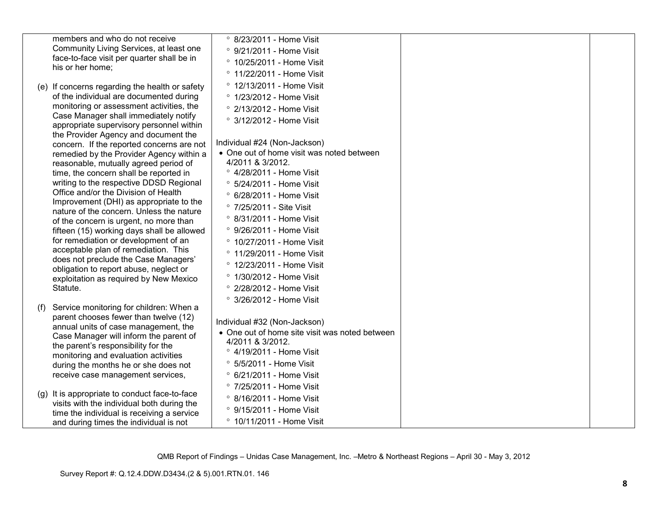|     | members and who do not receive                                                      | <sup>o</sup> 8/23/2011 - Home Visit                           |  |
|-----|-------------------------------------------------------------------------------------|---------------------------------------------------------------|--|
|     | Community Living Services, at least one                                             | ° 9/21/2011 - Home Visit                                      |  |
|     | face-to-face visit per quarter shall be in                                          | $\degree$ 10/25/2011 - Home Visit                             |  |
|     | his or her home;                                                                    | ° 11/22/2011 - Home Visit                                     |  |
|     | (e) If concerns regarding the health or safety                                      | ° 12/13/2011 - Home Visit                                     |  |
|     | of the individual are documented during                                             | ° 1/23/2012 - Home Visit                                      |  |
|     | monitoring or assessment activities, the                                            | ° 2/13/2012 - Home Visit                                      |  |
|     | Case Manager shall immediately notify                                               | ° 3/12/2012 - Home Visit                                      |  |
|     | appropriate supervisory personnel within<br>the Provider Agency and document the    |                                                               |  |
|     | concern. If the reported concerns are not                                           | Individual #24 (Non-Jackson)                                  |  |
|     | remedied by the Provider Agency within a<br>reasonable, mutually agreed period of   | • One out of home visit was noted between<br>4/2011 & 3/2012. |  |
|     | time, the concern shall be reported in                                              | ° 4/28/2011 - Home Visit                                      |  |
|     | writing to the respective DDSD Regional                                             | <sup>o</sup> 5/24/2011 - Home Visit                           |  |
|     | Office and/or the Division of Health                                                | ° 6/28/2011 - Home Visit                                      |  |
|     | Improvement (DHI) as appropriate to the<br>nature of the concern. Unless the nature | ° 7/25/2011 - Site Visit                                      |  |
|     | of the concern is urgent, no more than                                              | <sup>o</sup> 8/31/2011 - Home Visit                           |  |
|     | fifteen (15) working days shall be allowed                                          | ° 9/26/2011 - Home Visit                                      |  |
|     | for remediation or development of an                                                | ° 10/27/2011 - Home Visit                                     |  |
|     | acceptable plan of remediation. This<br>does not preclude the Case Managers'        | ° 11/29/2011 - Home Visit                                     |  |
|     | obligation to report abuse, neglect or                                              | ° 12/23/2011 - Home Visit                                     |  |
|     | exploitation as required by New Mexico                                              | ° 1/30/2012 - Home Visit                                      |  |
|     | Statute.                                                                            | ° 2/28/2012 - Home Visit                                      |  |
|     |                                                                                     | ° 3/26/2012 - Home Visit                                      |  |
| (f) | Service monitoring for children: When a<br>parent chooses fewer than twelve (12)    |                                                               |  |
|     | annual units of case management, the                                                | Individual #32 (Non-Jackson)                                  |  |
|     | Case Manager will inform the parent of                                              | • One out of home site visit was noted between                |  |
|     | the parent's responsibility for the                                                 | 4/2011 & 3/2012.                                              |  |
|     | monitoring and evaluation activities                                                | ° 4/19/2011 - Home Visit                                      |  |
|     | during the months he or she does not                                                | ° 5/5/2011 - Home Visit                                       |  |
|     | receive case management services,                                                   | ° 6/21/2011 - Home Visit                                      |  |
|     | (g) It is appropriate to conduct face-to-face                                       | ° 7/25/2011 - Home Visit                                      |  |
|     | visits with the individual both during the                                          | <sup>o</sup> 8/16/2011 - Home Visit                           |  |
|     | time the individual is receiving a service                                          | ° 9/15/2011 - Home Visit                                      |  |
|     | and during times the individual is not                                              | ° 10/11/2011 - Home Visit                                     |  |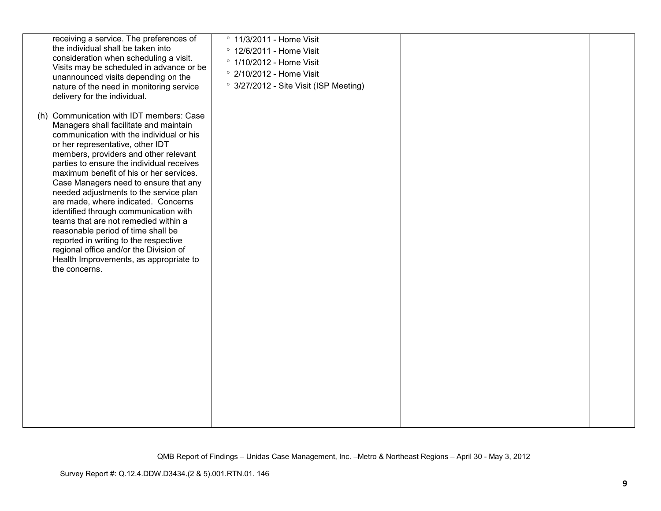| receiving a service. The preferences of<br>the individual shall be taken into<br>consideration when scheduling a visit.<br>Visits may be scheduled in advance or be<br>unannounced visits depending on the<br>nature of the need in monitoring service<br>delivery for the individual.                                                                                                                                                                                                                                                                                                                                                                                                             | ° 11/3/2011 - Home Visit<br>° 12/6/2011 - Home Visit<br>° 1/10/2012 - Home Visit<br>° 2/10/2012 - Home Visit<br>° 3/27/2012 - Site Visit (ISP Meeting) |  |
|----------------------------------------------------------------------------------------------------------------------------------------------------------------------------------------------------------------------------------------------------------------------------------------------------------------------------------------------------------------------------------------------------------------------------------------------------------------------------------------------------------------------------------------------------------------------------------------------------------------------------------------------------------------------------------------------------|--------------------------------------------------------------------------------------------------------------------------------------------------------|--|
| (h) Communication with IDT members: Case<br>Managers shall facilitate and maintain<br>communication with the individual or his<br>or her representative, other IDT<br>members, providers and other relevant<br>parties to ensure the individual receives<br>maximum benefit of his or her services.<br>Case Managers need to ensure that any<br>needed adjustments to the service plan<br>are made, where indicated. Concerns<br>identified through communication with<br>teams that are not remedied within a<br>reasonable period of time shall be<br>reported in writing to the respective<br>regional office and/or the Division of<br>Health Improvements, as appropriate to<br>the concerns. |                                                                                                                                                        |  |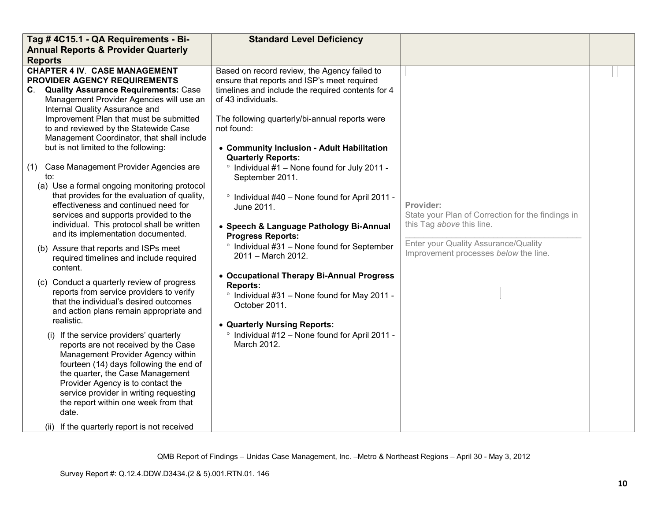| Tag #4C15.1 - QA Requirements - Bi-                                                                                                                                                                                                                                                                                                                                                                                                                                                                                                                                                                                                                                                                                                                                                                                                                                                                                                                                                                                                                                                                                                                                                                                                                                                                                                                                                                       | <b>Standard Level Deficiency</b>                                                                                                                                                                                                                                                                                                                                                                                                                                                                                                                                                                                                                                                                                                                                                                                                                         |                                                                                                                                                                              |  |
|-----------------------------------------------------------------------------------------------------------------------------------------------------------------------------------------------------------------------------------------------------------------------------------------------------------------------------------------------------------------------------------------------------------------------------------------------------------------------------------------------------------------------------------------------------------------------------------------------------------------------------------------------------------------------------------------------------------------------------------------------------------------------------------------------------------------------------------------------------------------------------------------------------------------------------------------------------------------------------------------------------------------------------------------------------------------------------------------------------------------------------------------------------------------------------------------------------------------------------------------------------------------------------------------------------------------------------------------------------------------------------------------------------------|----------------------------------------------------------------------------------------------------------------------------------------------------------------------------------------------------------------------------------------------------------------------------------------------------------------------------------------------------------------------------------------------------------------------------------------------------------------------------------------------------------------------------------------------------------------------------------------------------------------------------------------------------------------------------------------------------------------------------------------------------------------------------------------------------------------------------------------------------------|------------------------------------------------------------------------------------------------------------------------------------------------------------------------------|--|
| <b>Annual Reports &amp; Provider Quarterly</b>                                                                                                                                                                                                                                                                                                                                                                                                                                                                                                                                                                                                                                                                                                                                                                                                                                                                                                                                                                                                                                                                                                                                                                                                                                                                                                                                                            |                                                                                                                                                                                                                                                                                                                                                                                                                                                                                                                                                                                                                                                                                                                                                                                                                                                          |                                                                                                                                                                              |  |
| <b>Reports</b><br><b>CHAPTER 4 IV. CASE MANAGEMENT</b><br>PROVIDER AGENCY REQUIREMENTS<br>C. Quality Assurance Requirements: Case<br>Management Provider Agencies will use an<br>Internal Quality Assurance and<br>Improvement Plan that must be submitted<br>to and reviewed by the Statewide Case<br>Management Coordinator, that shall include<br>but is not limited to the following:<br>Case Management Provider Agencies are<br>(1)<br>to:<br>(a) Use a formal ongoing monitoring protocol<br>that provides for the evaluation of quality,<br>effectiveness and continued need for<br>services and supports provided to the<br>individual. This protocol shall be written<br>and its implementation documented.<br>(b) Assure that reports and ISPs meet<br>required timelines and include required<br>content.<br>(c) Conduct a quarterly review of progress<br>reports from service providers to verify<br>that the individual's desired outcomes<br>and action plans remain appropriate and<br>realistic.<br>(i) If the service providers' quarterly<br>reports are not received by the Case<br>Management Provider Agency within<br>fourteen (14) days following the end of<br>the quarter, the Case Management<br>Provider Agency is to contact the<br>service provider in writing requesting<br>the report within one week from that<br>date.<br>(ii) If the quarterly report is not received | Based on record review, the Agency failed to<br>ensure that reports and ISP's meet required<br>timelines and include the required contents for 4<br>of 43 individuals.<br>The following quarterly/bi-annual reports were<br>not found:<br>• Community Inclusion - Adult Habilitation<br><b>Quarterly Reports:</b><br><sup>o</sup> Individual #1 - None found for July 2011 -<br>September 2011.<br>° Individual #40 - None found for April 2011 -<br>June 2011.<br>• Speech & Language Pathology Bi-Annual<br><b>Progress Reports:</b><br>° Individual #31 - None found for September<br>2011 - March 2012.<br>• Occupational Therapy Bi-Annual Progress<br><b>Reports:</b><br>° Individual #31 - None found for May 2011 -<br>October 2011.<br>• Quarterly Nursing Reports:<br><sup>o</sup> Individual #12 - None found for April 2011 -<br>March 2012. | Provider:<br>State your Plan of Correction for the findings in<br>this Tag above this line.<br>Enter your Quality Assurance/Quality<br>Improvement processes below the line. |  |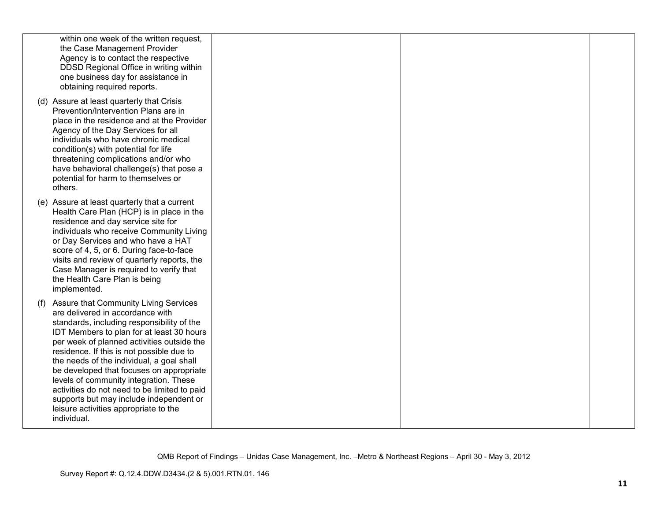| within one week of the written request,<br>the Case Management Provider<br>Agency is to contact the respective<br>DDSD Regional Office in writing within<br>one business day for assistance in<br>obtaining required reports.                                                                                                                                                                                                                                                                                                                                       |  |  |
|---------------------------------------------------------------------------------------------------------------------------------------------------------------------------------------------------------------------------------------------------------------------------------------------------------------------------------------------------------------------------------------------------------------------------------------------------------------------------------------------------------------------------------------------------------------------|--|--|
| (d) Assure at least quarterly that Crisis<br>Prevention/Intervention Plans are in<br>place in the residence and at the Provider<br>Agency of the Day Services for all<br>individuals who have chronic medical<br>condition(s) with potential for life<br>threatening complications and/or who<br>have behavioral challenge(s) that pose a<br>potential for harm to themselves or<br>others.                                                                                                                                                                         |  |  |
| (e) Assure at least quarterly that a current<br>Health Care Plan (HCP) is in place in the<br>residence and day service site for<br>individuals who receive Community Living<br>or Day Services and who have a HAT<br>score of 4, 5, or 6. During face-to-face<br>visits and review of quarterly reports, the<br>Case Manager is required to verify that<br>the Health Care Plan is being<br>implemented.                                                                                                                                                            |  |  |
| <b>Assure that Community Living Services</b><br>(f)<br>are delivered in accordance with<br>standards, including responsibility of the<br>IDT Members to plan for at least 30 hours<br>per week of planned activities outside the<br>residence. If this is not possible due to<br>the needs of the individual, a goal shall<br>be developed that focuses on appropriate<br>levels of community integration. These<br>activities do not need to be limited to paid<br>supports but may include independent or<br>leisure activities appropriate to the<br>individual. |  |  |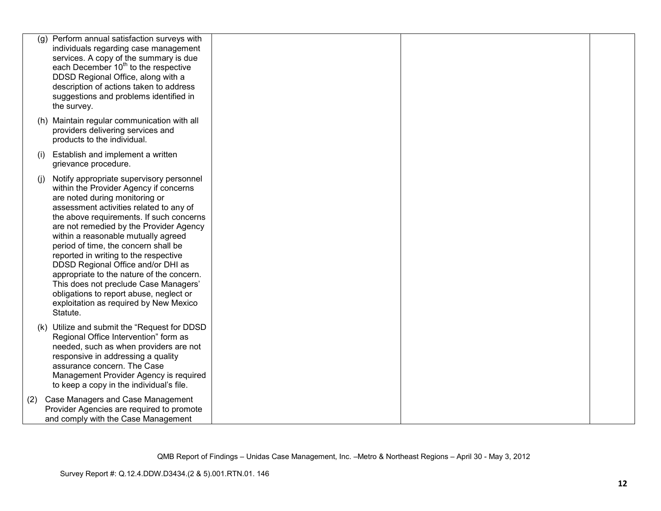| (g) | Perform annual satisfaction surveys with<br>individuals regarding case management<br>services. A copy of the summary is due<br>each December 10 <sup>th</sup> to the respective<br>DDSD Regional Office, along with a<br>description of actions taken to address<br>suggestions and problems identified in<br>the survey.                                                                                                                                                                                                                                                                                   |  |  |
|-----|-------------------------------------------------------------------------------------------------------------------------------------------------------------------------------------------------------------------------------------------------------------------------------------------------------------------------------------------------------------------------------------------------------------------------------------------------------------------------------------------------------------------------------------------------------------------------------------------------------------|--|--|
|     | (h) Maintain regular communication with all<br>providers delivering services and<br>products to the individual.                                                                                                                                                                                                                                                                                                                                                                                                                                                                                             |  |  |
| (i) | Establish and implement a written<br>grievance procedure.                                                                                                                                                                                                                                                                                                                                                                                                                                                                                                                                                   |  |  |
| (i) | Notify appropriate supervisory personnel<br>within the Provider Agency if concerns<br>are noted during monitoring or<br>assessment activities related to any of<br>the above requirements. If such concerns<br>are not remedied by the Provider Agency<br>within a reasonable mutually agreed<br>period of time, the concern shall be<br>reported in writing to the respective<br>DDSD Regional Office and/or DHI as<br>appropriate to the nature of the concern.<br>This does not preclude Case Managers'<br>obligations to report abuse, neglect or<br>exploitation as required by New Mexico<br>Statute. |  |  |
|     | (k) Utilize and submit the "Request for DDSD<br>Regional Office Intervention" form as<br>needed, such as when providers are not<br>responsive in addressing a quality<br>assurance concern. The Case<br>Management Provider Agency is required<br>to keep a copy in the individual's file.                                                                                                                                                                                                                                                                                                                  |  |  |
| (2) | Case Managers and Case Management<br>Provider Agencies are required to promote<br>and comply with the Case Management                                                                                                                                                                                                                                                                                                                                                                                                                                                                                       |  |  |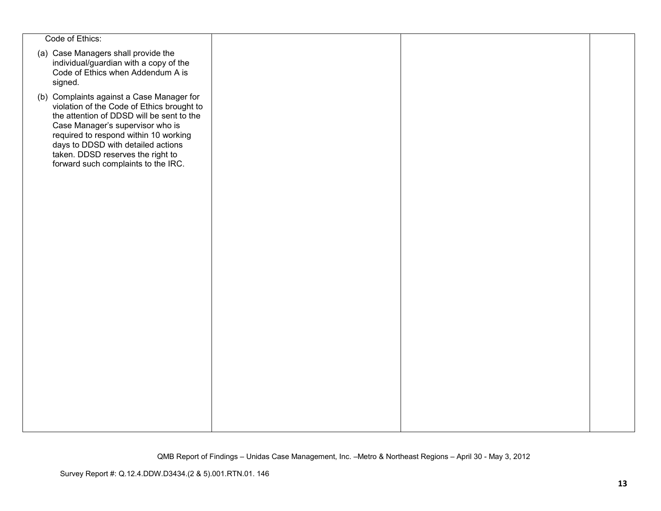| Code of Ethics:                                                                                                                                                                                                                                                                                                                     |  |  |
|-------------------------------------------------------------------------------------------------------------------------------------------------------------------------------------------------------------------------------------------------------------------------------------------------------------------------------------|--|--|
| (a) Case Managers shall provide the<br>individual/guardian with a copy of the<br>Code of Ethics when Addendum A is<br>signed.                                                                                                                                                                                                       |  |  |
| (b) Complaints against a Case Manager for<br>violation of the Code of Ethics brought to<br>the attention of DDSD will be sent to the<br>Case Manager's supervisor who is<br>required to respond within 10 working<br>days to DDSD with detailed actions<br>taken. DDSD reserves the right to<br>forward such complaints to the IRC. |  |  |
|                                                                                                                                                                                                                                                                                                                                     |  |  |
|                                                                                                                                                                                                                                                                                                                                     |  |  |
|                                                                                                                                                                                                                                                                                                                                     |  |  |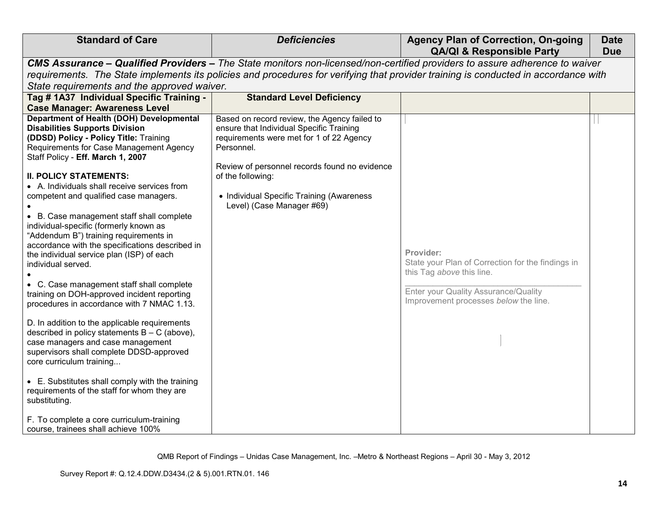| <b>Standard of Care</b>                                                                                                                                                                                                                                                                                                                                                                                                                                                                                                | <b>Deficiencies</b>                                                                                                                                                                                 | <b>Agency Plan of Correction, On-going</b><br><b>QA/QI &amp; Responsible Party</b>                                                                                           | <b>Date</b><br><b>Due</b> |
|------------------------------------------------------------------------------------------------------------------------------------------------------------------------------------------------------------------------------------------------------------------------------------------------------------------------------------------------------------------------------------------------------------------------------------------------------------------------------------------------------------------------|-----------------------------------------------------------------------------------------------------------------------------------------------------------------------------------------------------|------------------------------------------------------------------------------------------------------------------------------------------------------------------------------|---------------------------|
|                                                                                                                                                                                                                                                                                                                                                                                                                                                                                                                        |                                                                                                                                                                                                     | CMS Assurance – Qualified Providers – The State monitors non-licensed/non-certified providers to assure adherence to waiver                                                  |                           |
|                                                                                                                                                                                                                                                                                                                                                                                                                                                                                                                        |                                                                                                                                                                                                     | requirements. The State implements its policies and procedures for verifying that provider training is conducted in accordance with                                          |                           |
| State requirements and the approved waiver.                                                                                                                                                                                                                                                                                                                                                                                                                                                                            |                                                                                                                                                                                                     |                                                                                                                                                                              |                           |
| Tag # 1A37 Individual Specific Training -                                                                                                                                                                                                                                                                                                                                                                                                                                                                              | <b>Standard Level Deficiency</b>                                                                                                                                                                    |                                                                                                                                                                              |                           |
| <b>Case Manager: Awareness Level</b>                                                                                                                                                                                                                                                                                                                                                                                                                                                                                   |                                                                                                                                                                                                     |                                                                                                                                                                              |                           |
| <b>Department of Health (DOH) Developmental</b><br><b>Disabilities Supports Division</b><br>(DDSD) Policy - Policy Title: Training<br>Requirements for Case Management Agency<br>Staff Policy - Eff. March 1, 2007                                                                                                                                                                                                                                                                                                     | Based on record review, the Agency failed to<br>ensure that Individual Specific Training<br>requirements were met for 1 of 22 Agency<br>Personnel.<br>Review of personnel records found no evidence |                                                                                                                                                                              |                           |
| <b>II. POLICY STATEMENTS:</b><br>• A. Individuals shall receive services from<br>competent and qualified case managers.<br>• B. Case management staff shall complete<br>individual-specific (formerly known as<br>"Addendum B") training requirements in<br>accordance with the specifications described in<br>the individual service plan (ISP) of each<br>individual served.<br>C. Case management staff shall complete<br>training on DOH-approved incident reporting<br>procedures in accordance with 7 NMAC 1.13. | of the following:<br>• Individual Specific Training (Awareness<br>Level) (Case Manager #69)                                                                                                         | Provider:<br>State your Plan of Correction for the findings in<br>this Tag above this line.<br>Enter your Quality Assurance/Quality<br>Improvement processes below the line. |                           |
| D. In addition to the applicable requirements<br>described in policy statements $B - C$ (above),<br>case managers and case management<br>supervisors shall complete DDSD-approved<br>core curriculum training<br>• E. Substitutes shall comply with the training<br>requirements of the staff for whom they are<br>substituting.                                                                                                                                                                                       |                                                                                                                                                                                                     |                                                                                                                                                                              |                           |
| F. To complete a core curriculum-training<br>course, trainees shall achieve 100%                                                                                                                                                                                                                                                                                                                                                                                                                                       |                                                                                                                                                                                                     |                                                                                                                                                                              |                           |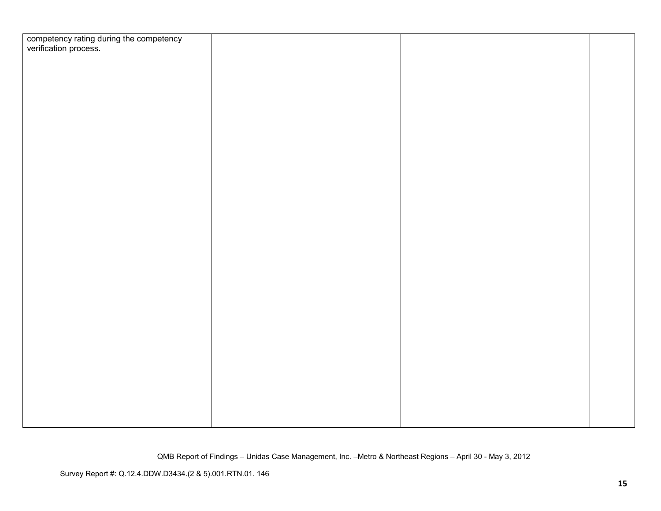| competency rating during the competency<br>verification process. |  |  |
|------------------------------------------------------------------|--|--|
|                                                                  |  |  |
|                                                                  |  |  |
|                                                                  |  |  |
|                                                                  |  |  |
|                                                                  |  |  |
|                                                                  |  |  |
|                                                                  |  |  |
|                                                                  |  |  |
|                                                                  |  |  |
|                                                                  |  |  |
|                                                                  |  |  |
|                                                                  |  |  |
|                                                                  |  |  |
|                                                                  |  |  |
|                                                                  |  |  |
|                                                                  |  |  |
|                                                                  |  |  |
|                                                                  |  |  |
|                                                                  |  |  |
|                                                                  |  |  |
|                                                                  |  |  |
|                                                                  |  |  |
|                                                                  |  |  |
|                                                                  |  |  |
|                                                                  |  |  |
|                                                                  |  |  |
|                                                                  |  |  |
|                                                                  |  |  |
|                                                                  |  |  |
|                                                                  |  |  |
|                                                                  |  |  |
|                                                                  |  |  |
|                                                                  |  |  |
|                                                                  |  |  |
|                                                                  |  |  |
|                                                                  |  |  |
|                                                                  |  |  |
|                                                                  |  |  |
|                                                                  |  |  |
|                                                                  |  |  |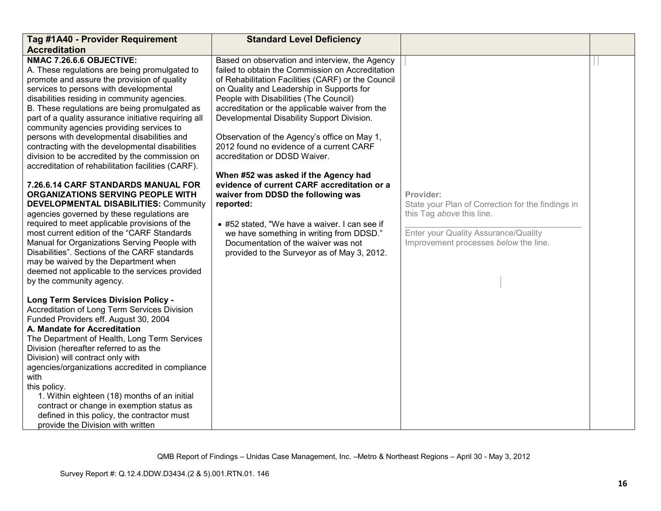| Tag #1A40 - Provider Requirement                                                                                                                                                                                                                                                                                                                                                                                                                                                                                                                                                                                                                                                                                                                                                                                                                                                                                                                                                                                                                                                          | <b>Standard Level Deficiency</b>                                                                                                                                                                                                                                                                                                                                                                                                                                                                                                                                                                                                                                                                                                                                                                           |                                                                                                                                                                              |  |
|-------------------------------------------------------------------------------------------------------------------------------------------------------------------------------------------------------------------------------------------------------------------------------------------------------------------------------------------------------------------------------------------------------------------------------------------------------------------------------------------------------------------------------------------------------------------------------------------------------------------------------------------------------------------------------------------------------------------------------------------------------------------------------------------------------------------------------------------------------------------------------------------------------------------------------------------------------------------------------------------------------------------------------------------------------------------------------------------|------------------------------------------------------------------------------------------------------------------------------------------------------------------------------------------------------------------------------------------------------------------------------------------------------------------------------------------------------------------------------------------------------------------------------------------------------------------------------------------------------------------------------------------------------------------------------------------------------------------------------------------------------------------------------------------------------------------------------------------------------------------------------------------------------------|------------------------------------------------------------------------------------------------------------------------------------------------------------------------------|--|
| <b>Accreditation</b>                                                                                                                                                                                                                                                                                                                                                                                                                                                                                                                                                                                                                                                                                                                                                                                                                                                                                                                                                                                                                                                                      |                                                                                                                                                                                                                                                                                                                                                                                                                                                                                                                                                                                                                                                                                                                                                                                                            |                                                                                                                                                                              |  |
| NMAC 7.26.6.6 OBJECTIVE:<br>A. These regulations are being promulgated to<br>promote and assure the provision of quality<br>services to persons with developmental<br>disabilities residing in community agencies.<br>B. These regulations are being promulgated as<br>part of a quality assurance initiative requiring all<br>community agencies providing services to<br>persons with developmental disabilities and<br>contracting with the developmental disabilities<br>division to be accredited by the commission on<br>accreditation of rehabilitation facilities (CARF).<br>7.26.6.14 CARF STANDARDS MANUAL FOR<br><b>ORGANIZATIONS SERVING PEOPLE WITH</b><br><b>DEVELOPMENTAL DISABILITIES: Community</b><br>agencies governed by these regulations are<br>required to meet applicable provisions of the<br>most current edition of the "CARF Standards<br>Manual for Organizations Serving People with<br>Disabilities". Sections of the CARF standards<br>may be waived by the Department when<br>deemed not applicable to the services provided<br>by the community agency. | Based on observation and interview, the Agency<br>failed to obtain the Commission on Accreditation<br>of Rehabilitation Facilities (CARF) or the Council<br>on Quality and Leadership in Supports for<br>People with Disabilities (The Council)<br>accreditation or the applicable waiver from the<br>Developmental Disability Support Division.<br>Observation of the Agency's office on May 1,<br>2012 found no evidence of a current CARF<br>accreditation or DDSD Waiver.<br>When #52 was asked if the Agency had<br>evidence of current CARF accreditation or a<br>waiver from DDSD the following was<br>reported:<br>• #52 stated, "We have a waiver. I can see if<br>we have something in writing from DDSD."<br>Documentation of the waiver was not<br>provided to the Surveyor as of May 3, 2012. | Provider:<br>State your Plan of Correction for the findings in<br>this Tag above this line.<br>Enter your Quality Assurance/Quality<br>Improvement processes below the line. |  |
| <b>Long Term Services Division Policy -</b><br>Accreditation of Long Term Services Division<br>Funded Providers eff. August 30, 2004<br>A. Mandate for Accreditation<br>The Department of Health, Long Term Services<br>Division (hereafter referred to as the<br>Division) will contract only with<br>agencies/organizations accredited in compliance<br>with<br>this policy.<br>1. Within eighteen (18) months of an initial<br>contract or change in exemption status as<br>defined in this policy, the contractor must<br>provide the Division with written                                                                                                                                                                                                                                                                                                                                                                                                                                                                                                                           |                                                                                                                                                                                                                                                                                                                                                                                                                                                                                                                                                                                                                                                                                                                                                                                                            |                                                                                                                                                                              |  |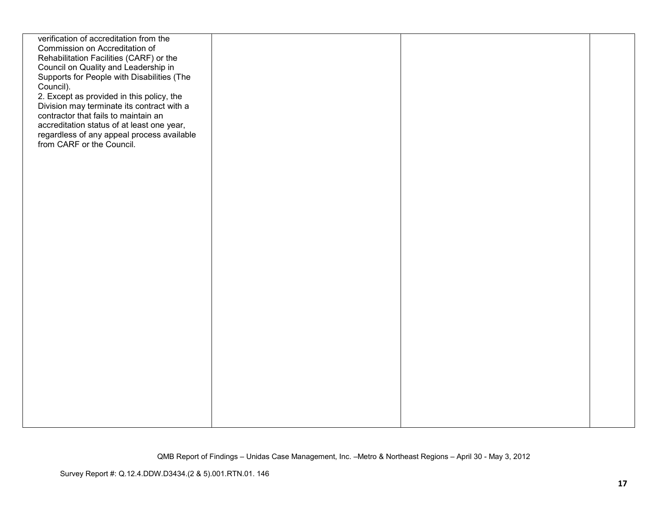| verification of accreditation from the     |  |  |
|--------------------------------------------|--|--|
| Commission on Accreditation of             |  |  |
| Rehabilitation Facilities (CARF) or the    |  |  |
| Council on Quality and Leadership in       |  |  |
| Supports for People with Disabilities (The |  |  |
|                                            |  |  |
| Council).                                  |  |  |
| 2. Except as provided in this policy, the  |  |  |
| Division may terminate its contract with a |  |  |
| contractor that fails to maintain an       |  |  |
| accreditation status of at least one year, |  |  |
| regardless of any appeal process available |  |  |
| from CARF or the Council.                  |  |  |
|                                            |  |  |
|                                            |  |  |
|                                            |  |  |
|                                            |  |  |
|                                            |  |  |
|                                            |  |  |
|                                            |  |  |
|                                            |  |  |
|                                            |  |  |
|                                            |  |  |
|                                            |  |  |
|                                            |  |  |
|                                            |  |  |
|                                            |  |  |
|                                            |  |  |
|                                            |  |  |
|                                            |  |  |
|                                            |  |  |
|                                            |  |  |
|                                            |  |  |
|                                            |  |  |
|                                            |  |  |
|                                            |  |  |
|                                            |  |  |
|                                            |  |  |
|                                            |  |  |
|                                            |  |  |
|                                            |  |  |
|                                            |  |  |
|                                            |  |  |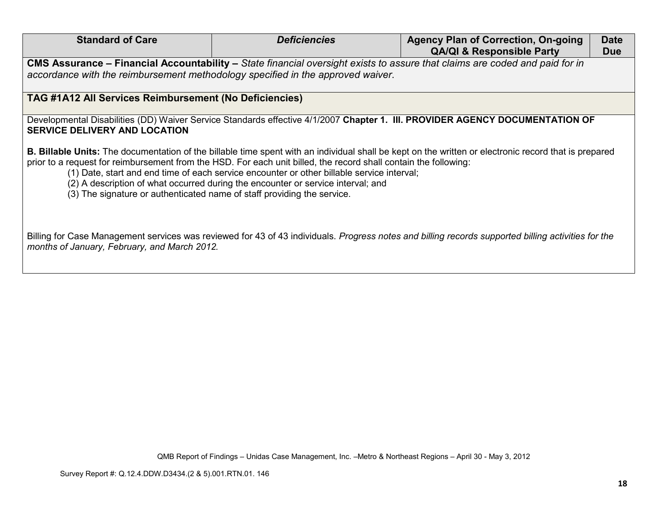| <b>Standard of Care</b>                                                         | <b>Deficiencies</b>                                                                                                                                                                                                                                                                                | <b>Agency Plan of Correction, On-going</b>                                                                                                                   | <b>Date</b> |
|---------------------------------------------------------------------------------|----------------------------------------------------------------------------------------------------------------------------------------------------------------------------------------------------------------------------------------------------------------------------------------------------|--------------------------------------------------------------------------------------------------------------------------------------------------------------|-------------|
|                                                                                 |                                                                                                                                                                                                                                                                                                    | <b>QA/QI &amp; Responsible Party</b>                                                                                                                         | <b>Due</b>  |
|                                                                                 | CMS Assurance - Financial Accountability - State financial oversight exists to assure that claims are coded and paid for in                                                                                                                                                                        |                                                                                                                                                              |             |
| accordance with the reimbursement methodology specified in the approved waiver. |                                                                                                                                                                                                                                                                                                    |                                                                                                                                                              |             |
|                                                                                 |                                                                                                                                                                                                                                                                                                    |                                                                                                                                                              |             |
| <b>TAG #1A12 All Services Reimbursement (No Deficiencies)</b>                   |                                                                                                                                                                                                                                                                                                    |                                                                                                                                                              |             |
|                                                                                 |                                                                                                                                                                                                                                                                                                    |                                                                                                                                                              |             |
|                                                                                 |                                                                                                                                                                                                                                                                                                    | Developmental Disabilities (DD) Waiver Service Standards effective 4/1/2007 Chapter 1. III. PROVIDER AGENCY DOCUMENTATION OF                                 |             |
| <b>SERVICE DELIVERY AND LOCATION</b>                                            |                                                                                                                                                                                                                                                                                                    |                                                                                                                                                              |             |
| (3) The signature or authenticated name of staff providing the service.         | prior to a request for reimbursement from the HSD. For each unit billed, the record shall contain the following:<br>(1) Date, start and end time of each service encounter or other billable service interval;<br>(2) A description of what occurred during the encounter or service interval; and | <b>B. Billable Units:</b> The documentation of the billable time spent with an individual shall be kept on the written or electronic record that is prepared |             |
| months of January, February, and March 2012.                                    |                                                                                                                                                                                                                                                                                                    | Billing for Case Management services was reviewed for 43 of 43 individuals. Progress notes and billing records supported billing activities for the          |             |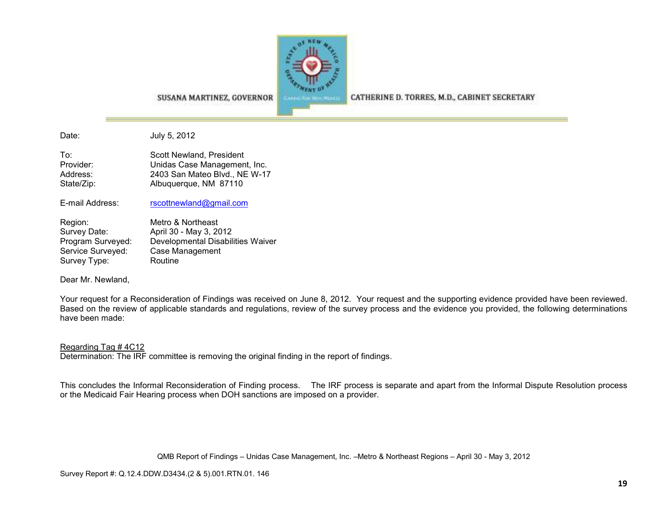

SUSANA MARTINEZ, GOVERNOR

CATHERINE D. TORRES, M.D., CABINET SECRETARY

Date: July 5, 2012

To: Scott Newland, President Provider: **Example 20** Unidas Case Management, Inc. Address: 2403 San Mateo Blvd., NE W-17 State/Zip: Albuquerque, NM 87110

E-mail Address: rscottnewland@gmail.com

Region: Metro & Northeast<br>Survey Date: April 30 - May 3, 20 Survey Date: April 30 - May 3, 2012 Program Surveyed: Developmental Disabilities WaiverService Surveyed: Case Management Survey Type: Routine

Dear Mr. Newland,

Your request for a Reconsideration of Findings was received on June 8, 2012. Your request and the supporting evidence provided have been reviewed. Based on the review of applicable standards and regulations, review of the survey process and the evidence you provided, the following determinations have been made:

#### Regarding Tag # 4C12

Determination: The IRF committee is removing the original finding in the report of findings.

This concludes the Informal Reconsideration of Finding process. The IRF process is separate and apart from the Informal Dispute Resolution process or the Medicaid Fair Hearing process when DOH sanctions are imposed on a provider.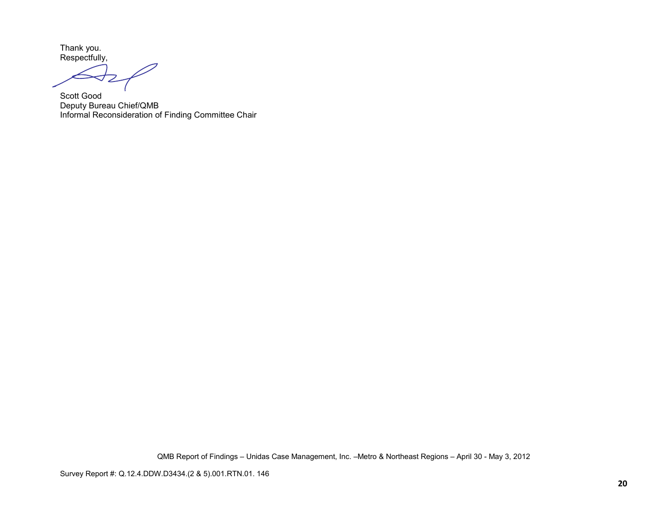Thank you. Respectfully,

Scott Good Deputy Bureau Chief/QMB Informal Reconsideration of Finding Committee Chair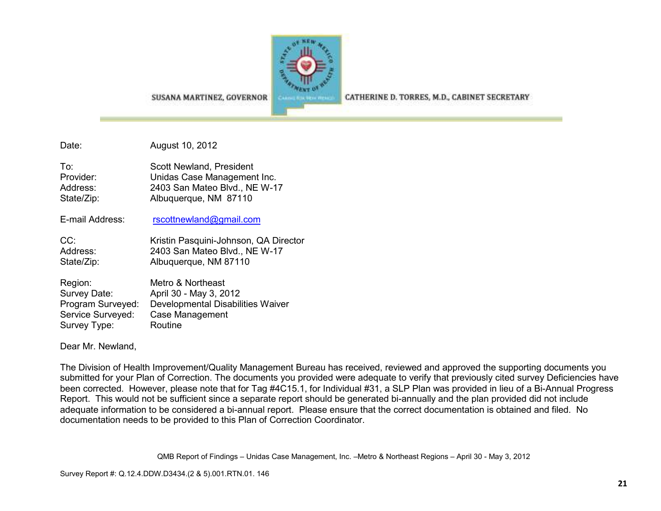

CATHERINE D. TORRES, M.D., CABINET SECRETARY

SUSANA MARTINEZ, GOVERNOR

Date: August 10, 2012

| To:        | Scott Newland, President      |
|------------|-------------------------------|
| Provider:  | Unidas Case Management Inc.   |
| Address:   | 2403 San Mateo Blvd., NE W-17 |
| State/Zip: | Albuquerque, NM 87110         |

E-mail Address: rscottnewland@gmail.com

CC: Kristin Pasquini-Johnson, QA Director Address: 2403 San Mateo Blvd., NE W-17 State/Zip: Albuquerque, NM 87110

Region: Metro & Northeast Survey Date: April 30 - May 3, 2012 Program Surveyed: Developmental Disabilities WaiverService Surveyed: Case Management Survey Type: Routine

Dear Mr. Newland,

The Division of Health Improvement/Quality Management Bureau has received, reviewed and approved the supporting documents you submitted for your Plan of Correction. The documents you provided were adequate to verify that previously cited survey Deficiencies have been corrected. However, please note that for Tag #4C15.1, for Individual #31, a SLP Plan was provided in lieu of a Bi-Annual Progress Report. This would not be sufficient since a separate report should be generated bi-annually and the plan provided did not include adequate information to be considered a bi-annual report. Please ensure that the correct documentation is obtained and filed. No documentation needs to be provided to this Plan of Correction Coordinator.